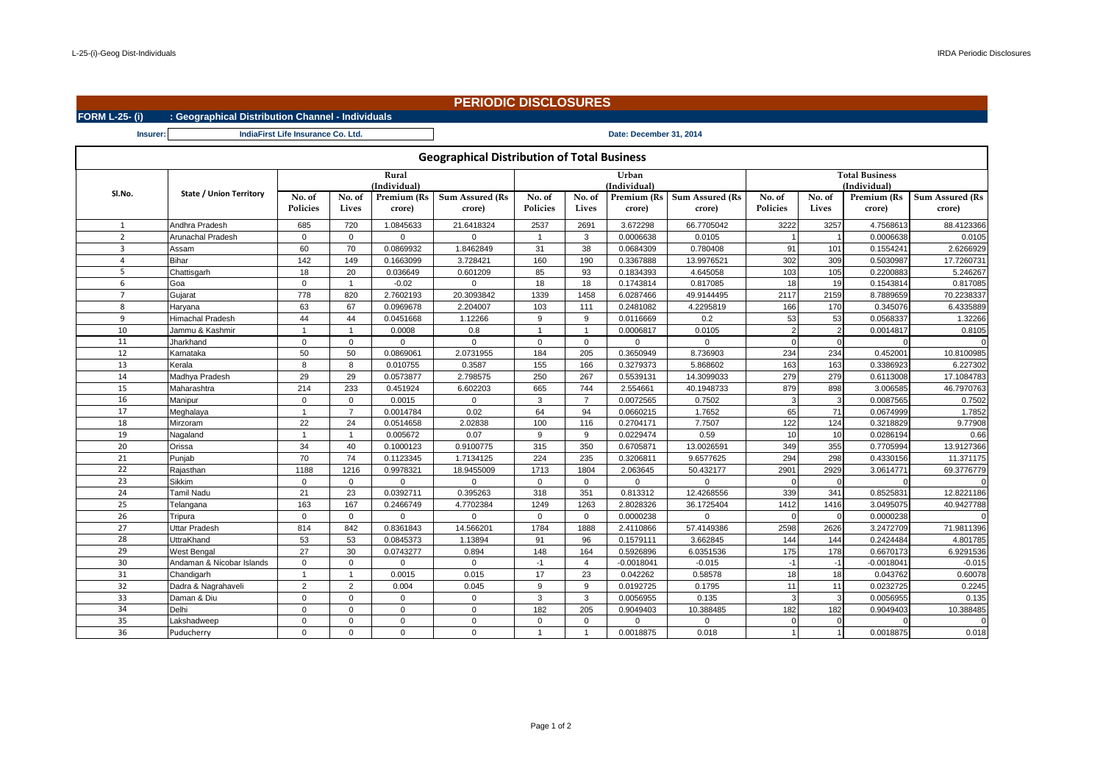|                      |                                                   |                                    |                |              | <b>PERIODIC DISCLOSURES</b>                        |                |                |              |                               |          |                 |              |                        |  |  |
|----------------------|---------------------------------------------------|------------------------------------|----------------|--------------|----------------------------------------------------|----------------|----------------|--------------|-------------------------------|----------|-----------------|--------------|------------------------|--|--|
| <b>FORM L-25-(i)</b> | : Geographical Distribution Channel - Individuals |                                    |                |              |                                                    |                |                |              |                               |          |                 |              |                        |  |  |
| Insurer:             |                                                   | IndiaFirst Life Insurance Co. Ltd. |                |              | Date: December 31, 2014                            |                |                |              |                               |          |                 |              |                        |  |  |
|                      |                                                   |                                    |                |              | <b>Geographical Distribution of Total Business</b> |                |                |              |                               |          |                 |              |                        |  |  |
|                      |                                                   | Rural                              | Urban          |              |                                                    |                |                |              | <b>Total Business</b>         |          |                 |              |                        |  |  |
| Sl.No.               | <b>State / Union Territory</b>                    |                                    |                | (Individual) |                                                    | (Individual    | (Individual)   |              |                               |          |                 |              |                        |  |  |
|                      |                                                   | No. of                             | No. of         | Premium (Rs  | <b>Sum Assured (Rs</b>                             | No. of         | No. of         |              | Premium (Rs   Sum Assured (Rs | No. of   | No. of          | Premium (Rs  | <b>Sum Assured (Rs</b> |  |  |
|                      |                                                   | <b>Policies</b>                    | Lives          | crore)       | crore)                                             | Policies       | Lives          | crore)       | crore)                        | Policies | Lives           | crore)       | crore)                 |  |  |
| $\mathbf{1}$         | Andhra Pradesh                                    | 685                                | 720            | 1.0845633    | 21.6418324                                         | 2537           | 2691           | 3.672298     | 66.7705042                    | 3222     | 3257            | 4.7568613    | 88.4123366             |  |  |
| $\overline{2}$       | Arunachal Pradesh                                 | $\mathbf{0}$                       | $\mathbf 0$    | $\mathbf 0$  | $\mathbf 0$                                        | $\overline{1}$ | 3              | 0.0006638    | 0.0105                        |          | $\overline{1}$  | 0.0006638    | 0.0105                 |  |  |
| $\overline{3}$       | Assam                                             | 60                                 | 70             | 0.0869932    | 1.8462849                                          | 31             | 38             | 0.0684309    | 0.780408                      | 91       | 101             | 0.1554241    | 2.6266929              |  |  |
| $\overline{a}$       | Bihar                                             | 142                                | 149            | 0.1663099    | 3.728421                                           | 160            | 190            | 0.3367888    | 13.9976521                    | 302      | 309             | 0.5030987    | 17.726073              |  |  |
| 5                    | Chattisgarh                                       | 18                                 | 20             | 0.036649     | 0.601209                                           | 85             | 93             | 0.1834393    | 4.645058                      | 103      | 105             | 0.2200883    | 5.246267               |  |  |
| 6                    | Goa                                               | $\mathbf 0$                        | -1             | $-0.02$      | $\mathbf 0$                                        | 18             | 18             | 0.1743814    | 0.817085                      | 18       | 19              | 0.1543814    | 0.817085               |  |  |
| $\overline{7}$       | Gujarat                                           | 778                                | 820            | 2.7602193    | 20.3093842                                         | 1339           | 1458           | 6.0287466    | 49.9144495                    | 2117     | 2159            | 8.7889659    | 70.2238337             |  |  |
| 8                    | Haryana                                           | 63                                 | 67             | 0.0969678    | 2.204007                                           | 103            | 111            | 0.2481082    | 4.2295819                     | 166      | 170             | 0.345076     | 6.4335889              |  |  |
| 9                    | <b>Himachal Pradesh</b>                           | 44                                 | 44             | 0.0451668    | 1.12266                                            | 9              | 9              | 0.0116669    | 0.2                           | 53       | 53              | 0.0568337    | 1.32266                |  |  |
| 10                   | Jammu & Kashmir                                   |                                    | -1             | 0.0008       | 0.8                                                | $\overline{1}$ | $\overline{1}$ | 0.0006817    | 0.0105                        |          | $\overline{2}$  | 0.0014817    | 0.8105                 |  |  |
| 11                   | Jharkhand                                         | $\mathbf 0$                        | $\mathbf 0$    | $\mathbf 0$  | $\mathbf 0$                                        | $\mathbf{0}$   | $\mathbf 0$    | $\mathbf 0$  | $\Omega$                      |          | $\mathbf{0}$    |              |                        |  |  |
| 12                   | Karnataka                                         | 50                                 | 50             | 0.0869061    | 2.0731955                                          | 184            | 205            | 0.3650949    | 8.736903                      | 234      | 234             | 0.452001     | 10.8100985             |  |  |
| 13                   | Kerala                                            | 8                                  | 8              | 0.010755     | 0.3587                                             | 155            | 166            | 0.3279373    | 5.868602                      | 163      | 163             | 0.3386923    | 6.227302               |  |  |
| 14                   | Madhya Pradesh                                    | 29                                 | 29             | 0.0573877    | 2.798575                                           | 250            | 267            | 0.5539131    | 14.3099033                    | 279      | 279             | 0.6113008    | 17.1084783             |  |  |
| 15                   | Maharashtra                                       | 214                                | 233            | 0.451924     | 6.602203                                           | 665            | 744            | 2.554661     | 40.1948733                    | 879      | 898             | 3.006585     | 46.7970763             |  |  |
| 16                   | Manipur                                           | $\mathbf{0}$                       | $\mathbf 0$    | 0.0015       | $\mathbf{0}$                                       | $\mathbf{3}$   | $\overline{7}$ | 0.0072565    | 0.7502                        | -3       | 3               | 0.0087565    | 0.7502                 |  |  |
| 17                   | Meghalaya                                         | $\mathbf{1}$                       | $\overline{7}$ | 0.0014784    | 0.02                                               | 64             | 94             | 0.0660215    | 1.7652                        | 65       | 71              | 0.0674999    | 1.7852                 |  |  |
| 18                   | Mirzoram                                          | 22                                 | 24             | 0.0514658    | 2.02838                                            | 100            | 116            | 0.2704171    | 7.7507                        | 122      | 124             | 0.3218829    | 9.77908                |  |  |
| 19                   | Nagaland                                          | $\overline{1}$                     | 1              | 0.005672     | 0.07                                               | 9              | 9              | 0.0229474    | 0.59                          | 10       | 10              | 0.0286194    | 0.66                   |  |  |
| 20                   | Orissa                                            | 34                                 | 40             | 0.1000123    | 0.9100775                                          | 315            | 350            | 0.6705871    | 13.0026591                    | 349      | 355             | 0.7705994    | 13.9127366             |  |  |
| 21                   | Punjab                                            | 70                                 | 74             | 0.1123345    | 1.7134125                                          | 224            | 235            | 0.3206811    | 9.6577625                     | 294      | 298             | 0.4330156    | 11.371175              |  |  |
| 22                   | Rajasthan                                         | 1188                               | 1216           | 0.9978321    | 18.9455009                                         | 1713           | 1804           | 2.063645     | 50.432177                     | 2901     | 2929            | 3.0614771    | 69.3776779             |  |  |
| 23                   | Sikkim                                            | $\mathbf 0$                        | $\mathbf 0$    | $\mathbf 0$  | $\mathbf 0$                                        | $\mathbf 0$    | $\mathbf 0$    | $\Omega$     | $\Omega$                      | $\cap$   | $\Omega$        |              |                        |  |  |
| 24                   | <b>Tamil Nadu</b>                                 | 21                                 | 23             | 0.0392711    | 0.395263                                           | 318            | 351            | 0.813312     | 12.4268556                    | 339      | 341             | 0.852583     | 12.8221186             |  |  |
| 25                   | Telangana                                         | 163                                | 167            | 0.2466749    | 4.7702384                                          | 1249           | 1263           | 2.8028326    | 36.1725404                    | 1412     | 1416            | 3.0495075    | 40.9427788             |  |  |
| 26                   | Tripura                                           | $\mathbf{0}$                       | $\mathbf 0$    | $\mathbf 0$  | $\mathbf 0$                                        | $\mathbf{0}$   | $\mathbf{0}$   | 0.0000238    | $\Omega$                      | $\cap$   | $\mathbf{0}$    | 0.0000238    |                        |  |  |
| 27                   | <b>Uttar Pradesh</b>                              | 814                                | 842            | 0.8361843    | 14.566201                                          | 1784           | 1888           | 2.4110866    | 57.4149386                    | 2598     | 2626            | 3.2472709    | 71.9811396             |  |  |
| 28                   | UttraKhand                                        | 53                                 | 53             | 0.0845373    | 1.13894                                            | 91             | 96             | 0.1579111    | 3.662845                      | 144      | 144             | 0.2424484    | 4.801785               |  |  |
| 29                   | West Bengal                                       | 27                                 | 30             | 0.0743277    | 0.894                                              | 148            | 164            | 0.5926896    | 6.0351536                     | 175      | 178             | 0.6670173    | 6.9291536              |  |  |
| 30                   | Andaman & Nicobar Islands                         | $\mathbf{0}$                       | $\mathbf 0$    | $\mathbf 0$  | $\mathbf 0$                                        | $-1$           | $\overline{4}$ | $-0.0018041$ | $-0.015$                      | $-1$     | $-1$            | $-0.0018041$ | $-0.015$               |  |  |
| 31                   | Chandigarh                                        | $\overline{1}$                     | -1             | 0.0015       | 0.015                                              | 17             | 23             | 0.042262     | 0.58578                       | 18       | 18 <sup>1</sup> | 0.043762     | 0.60078                |  |  |
| 32                   | Dadra & Nagrahaveli                               | 2                                  | 2              | 0.004        | 0.045                                              | 9              | 9              | 0.0192725    | 0.1795                        | 11       | 11              | 0.0232725    | 0.2245                 |  |  |
| 33                   | Daman & Diu                                       | $\mathbf 0$                        | $\Omega$       | $\mathbf 0$  | $\overline{0}$                                     | $\mathbf{3}$   | 3              | 0.0056955    | 0.135                         | -3       | 3               | 0.0056955    | 0.135                  |  |  |
| 34                   | Delhi                                             | $\Omega$                           | $\Omega$       | $\mathbf 0$  | $\mathbf 0$                                        | 182            | 205            | 0.9049403    | 10.388485                     | 182      | 182             | 0.9049403    | 10.388485              |  |  |
| 35                   | Lakshadweep                                       | $\mathbf 0$                        | $\mathbf 0$    | $\mathbf 0$  | $\mathbf 0$                                        | $\mathbf 0$    | $\mathbf 0$    | $\Omega$     | $\Omega$                      | $\Omega$ | $\mathbf{0}$    | $\Omega$     |                        |  |  |
| 36                   | Puducherry                                        | $\Omega$                           | $\Omega$       | $\Omega$     | $\Omega$                                           | $\mathbf{1}$   | $\mathbf{1}$   | 0.0018875    | 0.018                         |          | 1               | 0.0018875    | 0.018                  |  |  |